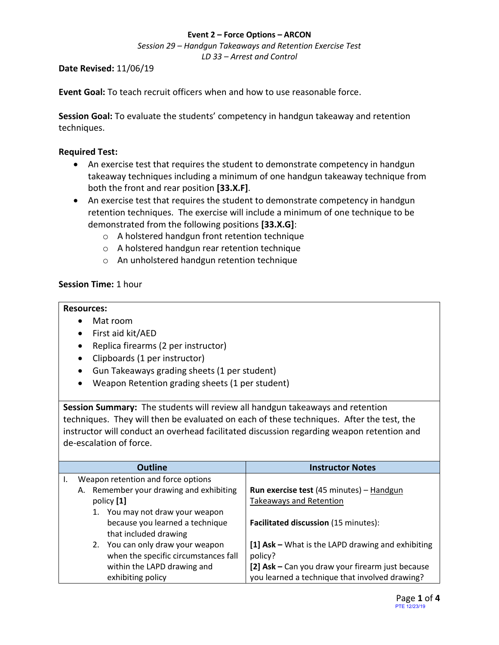#### **Event 2 – Force Options – ARCON**

*Session 29 – Handgun Takeaways and Retention Exercise Test LD 33 – Arrest and Control*

**Date Revised:** 11/06/19

**Event Goal:** To teach recruit officers when and how to use reasonable force.

**Session Goal:** To evaluate the students' competency in handgun takeaway and retention techniques.

### <span id="page-0-0"></span>**Required Test:**

- [An exercise test that requires the student to demonstrate competency in handgun](#page-1-0)  [takeaway techniques including a minimum of one handgun takeaway technique from](#page-1-0)  [both the front and rear position](#page-1-0) **[33.X.F]**.
- [An exercise test that requires the student to demonstrate competency in handgun](#page-1-0)  [retention techniques. The exercise will include a minimum of one technique to be](#page-1-0)  [demonstrated from the following positions](#page-1-0) **[33.X.G]**:
	- o [A holstered handgun front retention technique](#page-1-0)
	- o [A holstered handgun rear retention technique](#page-1-0)
	- o [An unholstered handgun retention technique](#page-1-0)

## **Session Time:** 1 hour

### **Resources:**

- Mat room
- First aid kit/AED
- Replica firearms (2 per instructor)
- Clipboards (1 per instructor)
- Gun Takeaways grading sheets (1 per student)
- Weapon Retention grading sheets (1 per student)

**Session Summary:** The students will review all handgun takeaways and retention techniques. They will then be evaluated on each of these techniques. After the test, the instructor will conduct an overhead facilitated discussion regarding weapon retention and de-escalation of force.

| <b>Outline</b>                             | <b>Instructor Notes</b>                           |
|--------------------------------------------|---------------------------------------------------|
| Weapon retention and force options         |                                                   |
| Remember your drawing and exhibiting<br>А. | Run exercise test (45 minutes) - Handgun          |
| policy [1]                                 | Takeaways and Retention                           |
| 1. You may not draw your weapon            |                                                   |
| because you learned a technique            | Facilitated discussion (15 minutes):              |
| that included drawing                      |                                                   |
| 2. You can only draw your weapon           | [1] Ask - What is the LAPD drawing and exhibiting |
| when the specific circumstances fall       | policy?                                           |
| within the LAPD drawing and                | [2] Ask - Can you draw your firearm just because  |
| exhibiting policy                          | you learned a technique that involved drawing?    |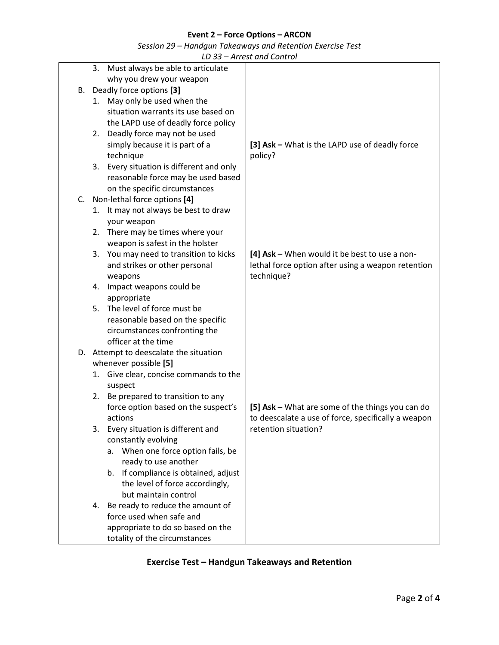## **Event 2 – Force Options – ARCON**

*Session 29 – Handgun Takeaways and Retention Exercise Test*

*LD 33 – Arrest and Control*

|    | 3. | Must always be able to articulate        |                                                     |
|----|----|------------------------------------------|-----------------------------------------------------|
|    |    | why you drew your weapon                 |                                                     |
|    |    | B. Deadly force options [3]              |                                                     |
|    | 1. | May only be used when the                |                                                     |
|    |    | situation warrants its use based on      |                                                     |
|    |    | the LAPD use of deadly force policy      |                                                     |
|    |    | 2. Deadly force may not be used          |                                                     |
|    |    | simply because it is part of a           | [3] Ask - What is the LAPD use of deadly force      |
|    |    | technique                                | policy?                                             |
|    |    | 3. Every situation is different and only |                                                     |
|    |    | reasonable force may be used based       |                                                     |
|    |    | on the specific circumstances            |                                                     |
| C. |    | Non-lethal force options [4]             |                                                     |
|    |    | 1. It may not always be best to draw     |                                                     |
|    |    | your weapon                              |                                                     |
|    |    | 2. There may be times where your         |                                                     |
|    |    | weapon is safest in the holster          |                                                     |
|    |    | 3. You may need to transition to kicks   | [4] $Ask - When would it be best to use a non-$     |
|    |    | and strikes or other personal            | lethal force option after using a weapon retention  |
|    |    | weapons                                  | technique?                                          |
|    | 4. | Impact weapons could be                  |                                                     |
|    |    | appropriate                              |                                                     |
|    | 5. | The level of force must be               |                                                     |
|    |    | reasonable based on the specific         |                                                     |
|    |    | circumstances confronting the            |                                                     |
|    |    | officer at the time                      |                                                     |
|    |    | D. Attempt to deescalate the situation   |                                                     |
|    |    | whenever possible [5]                    |                                                     |
|    | 1. | Give clear, concise commands to the      |                                                     |
|    |    | suspect                                  |                                                     |
|    | 2. | Be prepared to transition to any         |                                                     |
|    |    | force option based on the suspect's      | [5] Ask - What are some of the things you can do    |
|    |    | actions                                  | to deescalate a use of force, specifically a weapon |
|    | 3. | Every situation is different and         | retention situation?                                |
|    |    | constantly evolving                      |                                                     |
|    |    | When one force option fails, be<br>а.    |                                                     |
|    |    | ready to use another                     |                                                     |
|    |    | b. If compliance is obtained, adjust     |                                                     |
|    |    | the level of force accordingly,          |                                                     |
|    |    | but maintain control                     |                                                     |
|    |    | 4. Be ready to reduce the amount of      |                                                     |
|    |    | force used when safe and                 |                                                     |
|    |    | appropriate to do so based on the        |                                                     |
|    |    | totality of the circumstances            |                                                     |

# <span id="page-1-0"></span>**Exercise Test – [Handgun Takeaways](#page-0-0) and Retention**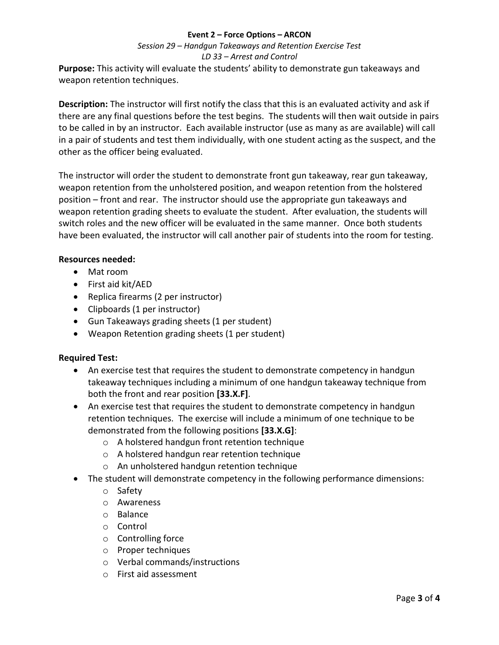### **Event 2 – Force Options – ARCON**

# *Session 29 – Handgun Takeaways and Retention Exercise Test LD 33 – Arrest and Control*

**Purpose:** This activity will evaluate the students' ability to demonstrate gun takeaways and weapon retention techniques.

**Description:** The instructor will first notify the class that this is an evaluated activity and ask if there are any final questions before the test begins. The students will then wait outside in pairs to be called in by an instructor. Each available instructor (use as many as are available) will call in a pair of students and test them individually, with one student acting as the suspect, and the other as the officer being evaluated.

The instructor will order the student to demonstrate front gun takeaway, rear gun takeaway, weapon retention from the unholstered position, and weapon retention from the holstered position – front and rear. The instructor should use the appropriate gun takeaways and weapon retention grading sheets to evaluate the student. After evaluation, the students will switch roles and the new officer will be evaluated in the same manner. Once both students have been evaluated, the instructor will call another pair of students into the room for testing.

## **Resources needed:**

- Mat room
- First aid kit/AED
- Replica firearms (2 per instructor)
- Clipboards (1 per instructor)
- Gun Takeaways grading sheets (1 per student)
- Weapon Retention grading sheets (1 per student)

### **Required Test:**

- An exercise test that requires the student to demonstrate competency in handgun takeaway techniques including a minimum of one handgun takeaway technique from both the front and rear position **[33.X.F]**.
- An exercise test that requires the student to demonstrate competency in handgun retention techniques. The exercise will include a minimum of one technique to be demonstrated from the following positions **[33.X.G]**:
	- o A holstered handgun front retention technique
	- o A holstered handgun rear retention technique
	- o An unholstered handgun retention technique
- The student will demonstrate competency in the following performance dimensions:
	- o Safety
	- o Awareness
	- o Balance
	- o Control
	- o Controlling force
	- o Proper techniques
	- o Verbal commands/instructions
	- o First aid assessment